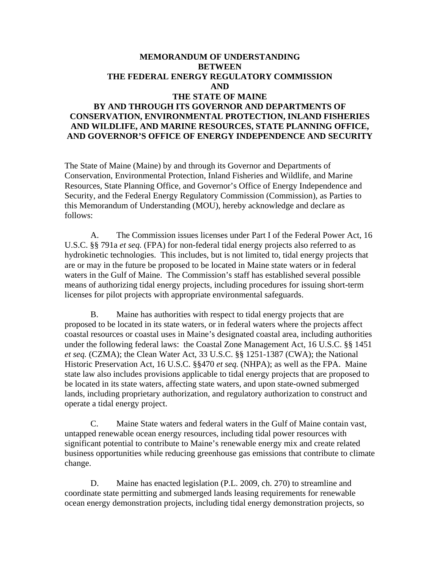# **MEMORANDUM OF UNDERSTANDING BETWEEN THE FEDERAL ENERGY REGULATORY COMMISSION AND THE STATE OF MAINE BY AND THROUGH ITS GOVERNOR AND DEPARTMENTS OF CONSERVATION, ENVIRONMENTAL PROTECTION, INLAND FISHERIES AND WILDLIFE, AND MARINE RESOURCES, STATE PLANNING OFFICE, AND GOVERNOR'S OFFICE OF ENERGY INDEPENDENCE AND SECURITY**

The State of Maine (Maine) by and through its Governor and Departments of Conservation, Environmental Protection, Inland Fisheries and Wildlife, and Marine Resources, State Planning Office, and Governor's Office of Energy Independence and Security, and the Federal Energy Regulatory Commission (Commission), as Parties to this Memorandum of Understanding (MOU), hereby acknowledge and declare as follows:

 A. The Commission issues licenses under Part I of the Federal Power Act, 16 U.S.C. §§ 791a *et seq.* (FPA) for non-federal tidal energy projects also referred to as hydrokinetic technologies. This includes, but is not limited to, tidal energy projects that are or may in the future be proposed to be located in Maine state waters or in federal waters in the Gulf of Maine. The Commission's staff has established several possible means of authorizing tidal energy projects, including procedures for issuing short-term licenses for pilot projects with appropriate environmental safeguards.

 B. Maine has authorities with respect to tidal energy projects that are proposed to be located in its state waters, or in federal waters where the projects affect coastal resources or coastal uses in Maine's designated coastal area, including authorities under the following federal laws: the Coastal Zone Management Act, 16 U.S.C. §§ 1451 *et seq.* (CZMA); the Clean Water Act, 33 U.S.C. §§ 1251-1387 (CWA); the National Historic Preservation Act, 16 U.S.C. §§470 *et seq.* (NHPA); as well as the FPA. Maine state law also includes provisions applicable to tidal energy projects that are proposed to be located in its state waters, affecting state waters, and upon state-owned submerged lands, including proprietary authorization, and regulatory authorization to construct and operate a tidal energy project.

 C. Maine State waters and federal waters in the Gulf of Maine contain vast, untapped renewable ocean energy resources, including tidal power resources with significant potential to contribute to Maine's renewable energy mix and create related business opportunities while reducing greenhouse gas emissions that contribute to climate change.

 D. Maine has enacted legislation (P.L. 2009, ch. 270) to streamline and coordinate state permitting and submerged lands leasing requirements for renewable ocean energy demonstration projects, including tidal energy demonstration projects, so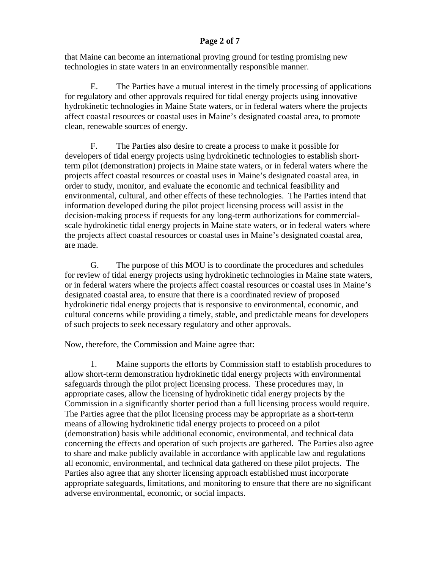## **Page 2 of 7**

that Maine can become an international proving ground for testing promising new technologies in state waters in an environmentally responsible manner.

 E. The Parties have a mutual interest in the timely processing of applications for regulatory and other approvals required for tidal energy projects using innovative hydrokinetic technologies in Maine State waters, or in federal waters where the projects affect coastal resources or coastal uses in Maine's designated coastal area, to promote clean, renewable sources of energy.

 F. The Parties also desire to create a process to make it possible for developers of tidal energy projects using hydrokinetic technologies to establish shortterm pilot (demonstration) projects in Maine state waters, or in federal waters where the projects affect coastal resources or coastal uses in Maine's designated coastal area, in order to study, monitor, and evaluate the economic and technical feasibility and environmental, cultural, and other effects of these technologies. The Parties intend that information developed during the pilot project licensing process will assist in the decision-making process if requests for any long-term authorizations for commercialscale hydrokinetic tidal energy projects in Maine state waters, or in federal waters where the projects affect coastal resources or coastal uses in Maine's designated coastal area, are made.

 G. The purpose of this MOU is to coordinate the procedures and schedules for review of tidal energy projects using hydrokinetic technologies in Maine state waters, or in federal waters where the projects affect coastal resources or coastal uses in Maine's designated coastal area, to ensure that there is a coordinated review of proposed hydrokinetic tidal energy projects that is responsive to environmental, economic, and cultural concerns while providing a timely, stable, and predictable means for developers of such projects to seek necessary regulatory and other approvals.

Now, therefore, the Commission and Maine agree that:

 1. Maine supports the efforts by Commission staff to establish procedures to allow short-term demonstration hydrokinetic tidal energy projects with environmental safeguards through the pilot project licensing process. These procedures may, in appropriate cases, allow the licensing of hydrokinetic tidal energy projects by the Commission in a significantly shorter period than a full licensing process would require. The Parties agree that the pilot licensing process may be appropriate as a short-term means of allowing hydrokinetic tidal energy projects to proceed on a pilot (demonstration) basis while additional economic, environmental, and technical data concerning the effects and operation of such projects are gathered. The Parties also agree to share and make publicly available in accordance with applicable law and regulations all economic, environmental, and technical data gathered on these pilot projects. The Parties also agree that any shorter licensing approach established must incorporate appropriate safeguards, limitations, and monitoring to ensure that there are no significant adverse environmental, economic, or social impacts.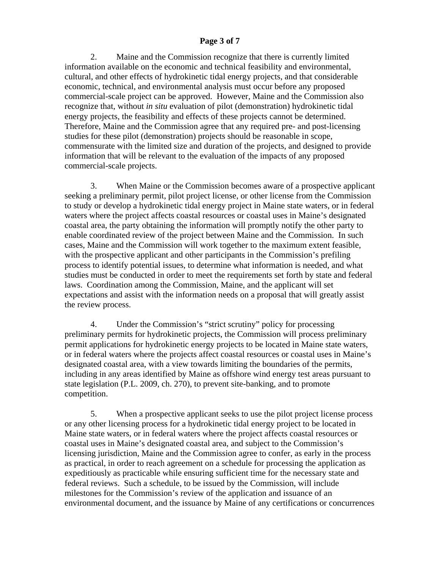### **Page 3 of 7**

 2. Maine and the Commission recognize that there is currently limited information available on the economic and technical feasibility and environmental, cultural, and other effects of hydrokinetic tidal energy projects, and that considerable economic, technical, and environmental analysis must occur before any proposed commercial-scale project can be approved. However, Maine and the Commission also recognize that, without *in situ* evaluation of pilot (demonstration) hydrokinetic tidal energy projects, the feasibility and effects of these projects cannot be determined. Therefore, Maine and the Commission agree that any required pre- and post-licensing studies for these pilot (demonstration) projects should be reasonable in scope, commensurate with the limited size and duration of the projects, and designed to provide information that will be relevant to the evaluation of the impacts of any proposed commercial-scale projects.

 3. When Maine or the Commission becomes aware of a prospective applicant seeking a preliminary permit, pilot project license, or other license from the Commission to study or develop a hydrokinetic tidal energy project in Maine state waters, or in federal waters where the project affects coastal resources or coastal uses in Maine's designated coastal area, the party obtaining the information will promptly notify the other party to enable coordinated review of the project between Maine and the Commission. In such cases, Maine and the Commission will work together to the maximum extent feasible, with the prospective applicant and other participants in the Commission's prefiling process to identify potential issues, to determine what information is needed, and what studies must be conducted in order to meet the requirements set forth by state and federal laws. Coordination among the Commission, Maine, and the applicant will set expectations and assist with the information needs on a proposal that will greatly assist the review process.

 4. Under the Commission's "strict scrutiny" policy for processing preliminary permits for hydrokinetic projects, the Commission will process preliminary permit applications for hydrokinetic energy projects to be located in Maine state waters, or in federal waters where the projects affect coastal resources or coastal uses in Maine's designated coastal area, with a view towards limiting the boundaries of the permits, including in any areas identified by Maine as offshore wind energy test areas pursuant to state legislation (P.L. 2009, ch. 270), to prevent site-banking, and to promote competition.

 5. When a prospective applicant seeks to use the pilot project license process or any other licensing process for a hydrokinetic tidal energy project to be located in Maine state waters, or in federal waters where the project affects coastal resources or coastal uses in Maine's designated coastal area, and subject to the Commission's licensing jurisdiction, Maine and the Commission agree to confer, as early in the process as practical, in order to reach agreement on a schedule for processing the application as expeditiously as practicable while ensuring sufficient time for the necessary state and federal reviews. Such a schedule, to be issued by the Commission, will include milestones for the Commission's review of the application and issuance of an environmental document, and the issuance by Maine of any certifications or concurrences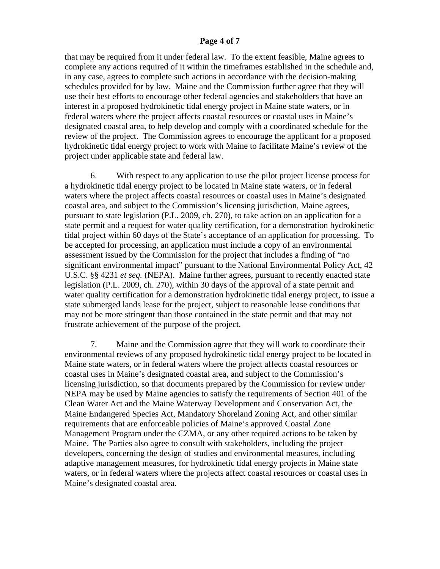#### **Page 4 of 7**

that may be required from it under federal law. To the extent feasible, Maine agrees to complete any actions required of it within the timeframes established in the schedule and, in any case, agrees to complete such actions in accordance with the decision-making schedules provided for by law. Maine and the Commission further agree that they will use their best efforts to encourage other federal agencies and stakeholders that have an interest in a proposed hydrokinetic tidal energy project in Maine state waters, or in federal waters where the project affects coastal resources or coastal uses in Maine's designated coastal area, to help develop and comply with a coordinated schedule for the review of the project. The Commission agrees to encourage the applicant for a proposed hydrokinetic tidal energy project to work with Maine to facilitate Maine's review of the project under applicable state and federal law.

 6. With respect to any application to use the pilot project license process for a hydrokinetic tidal energy project to be located in Maine state waters, or in federal waters where the project affects coastal resources or coastal uses in Maine's designated coastal area, and subject to the Commission's licensing jurisdiction, Maine agrees, pursuant to state legislation (P.L. 2009, ch. 270), to take action on an application for a state permit and a request for water quality certification, for a demonstration hydrokinetic tidal project within 60 days of the State's acceptance of an application for processing. To be accepted for processing, an application must include a copy of an environmental assessment issued by the Commission for the project that includes a finding of "no significant environmental impact" pursuant to the National Environmental Policy Act, 42 U.S.C. §§ 4231 *et seq.* (NEPA). Maine further agrees, pursuant to recently enacted state legislation (P.L. 2009, ch. 270), within 30 days of the approval of a state permit and water quality certification for a demonstration hydrokinetic tidal energy project, to issue a state submerged lands lease for the project, subject to reasonable lease conditions that may not be more stringent than those contained in the state permit and that may not frustrate achievement of the purpose of the project.

7. Maine and the Commission agree that they will work to coordinate their environmental reviews of any proposed hydrokinetic tidal energy project to be located in Maine state waters, or in federal waters where the project affects coastal resources or coastal uses in Maine's designated coastal area, and subject to the Commission's licensing jurisdiction, so that documents prepared by the Commission for review under NEPA may be used by Maine agencies to satisfy the requirements of Section 401 of the Clean Water Act and the Maine Waterway Development and Conservation Act, the Maine Endangered Species Act, Mandatory Shoreland Zoning Act, and other similar requirements that are enforceable policies of Maine's approved Coastal Zone Management Program under the CZMA, or any other required actions to be taken by Maine. The Parties also agree to consult with stakeholders, including the project developers, concerning the design of studies and environmental measures, including adaptive management measures, for hydrokinetic tidal energy projects in Maine state waters, or in federal waters where the projects affect coastal resources or coastal uses in Maine's designated coastal area.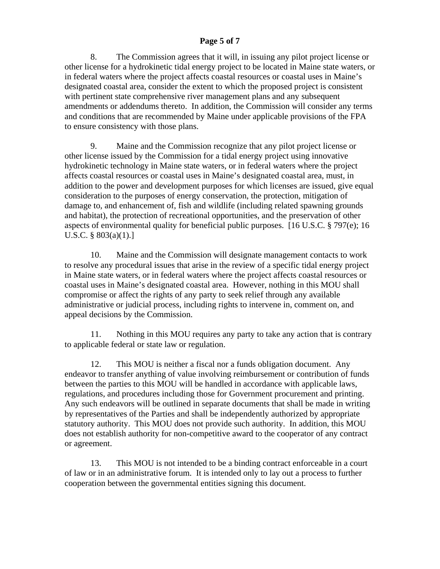## **Page 5 of 7**

 8. The Commission agrees that it will, in issuing any pilot project license or other license for a hydrokinetic tidal energy project to be located in Maine state waters, or in federal waters where the project affects coastal resources or coastal uses in Maine's designated coastal area, consider the extent to which the proposed project is consistent with pertinent state comprehensive river management plans and any subsequent amendments or addendums thereto. In addition, the Commission will consider any terms and conditions that are recommended by Maine under applicable provisions of the FPA to ensure consistency with those plans.

 9. Maine and the Commission recognize that any pilot project license or other license issued by the Commission for a tidal energy project using innovative hydrokinetic technology in Maine state waters, or in federal waters where the project affects coastal resources or coastal uses in Maine's designated coastal area, must, in addition to the power and development purposes for which licenses are issued, give equal consideration to the purposes of energy conservation, the protection, mitigation of damage to, and enhancement of, fish and wildlife (including related spawning grounds and habitat), the protection of recreational opportunities, and the preservation of other aspects of environmental quality for beneficial public purposes. [16 U.S.C. § 797(e); 16 U.S.C. § 803(a)(1).]

 10. Maine and the Commission will designate management contacts to work to resolve any procedural issues that arise in the review of a specific tidal energy project in Maine state waters, or in federal waters where the project affects coastal resources or coastal uses in Maine's designated coastal area. However, nothing in this MOU shall compromise or affect the rights of any party to seek relief through any available administrative or judicial process, including rights to intervene in, comment on, and appeal decisions by the Commission.

 11. Nothing in this MOU requires any party to take any action that is contrary to applicable federal or state law or regulation.

 12. This MOU is neither a fiscal nor a funds obligation document. Any endeavor to transfer anything of value involving reimbursement or contribution of funds between the parties to this MOU will be handled in accordance with applicable laws, regulations, and procedures including those for Government procurement and printing. Any such endeavors will be outlined in separate documents that shall be made in writing by representatives of the Parties and shall be independently authorized by appropriate statutory authority. This MOU does not provide such authority. In addition, this MOU does not establish authority for non-competitive award to the cooperator of any contract or agreement.

 13. This MOU is not intended to be a binding contract enforceable in a court of law or in an administrative forum. It is intended only to lay out a process to further cooperation between the governmental entities signing this document.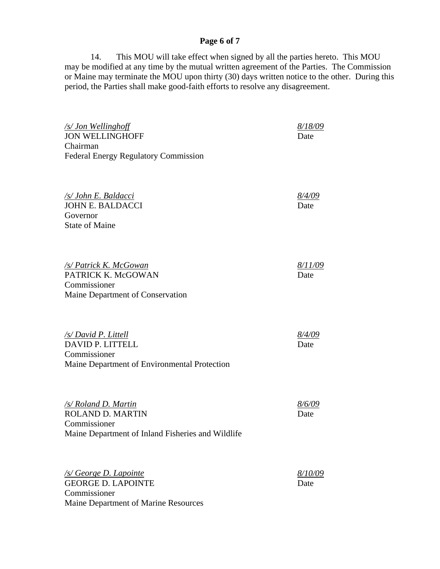# **Page 6 of 7**

 14. This MOU will take effect when signed by all the parties hereto. This MOU may be modified at any time by the mutual written agreement of the Parties. The Commission or Maine may terminate the MOU upon thirty (30) days written notice to the other. During this period, the Parties shall make good-faith efforts to resolve any disagreement.

| /s/ Jon Wellinghoff<br><b>JON WELLINGHOFF</b>                                                                        | 8/18/09<br>Date        |
|----------------------------------------------------------------------------------------------------------------------|------------------------|
| Chairman<br><b>Federal Energy Regulatory Commission</b>                                                              |                        |
| <u>/s/ John E. Baldacci</u><br><b>JOHN E. BALDACCI</b><br>Governor<br><b>State of Maine</b>                          | <u>8/4/09</u><br>Date  |
| /s/ Patrick K. McGowan<br>PATRICK K. McGOWAN<br>Commissioner<br>Maine Department of Conservation                     | <u>8/11/09</u><br>Date |
| /s/ David P. Littell<br>DAVID P. LITTELL<br>Commissioner<br>Maine Department of Environmental Protection             | <u>8/4/09</u><br>Date  |
| /s/ Roland D. Martin<br><b>ROLAND D. MARTIN</b><br>Commissioner<br>Maine Department of Inland Fisheries and Wildlife | 8/6/09<br>Date         |
| <b><u>/s/ George D. Lapointe</u></b><br><b>GEORGE D. LAPOINTE</b><br>Commissioner                                    | <u>8/10/09</u><br>Date |

Maine Department of Marine Resources